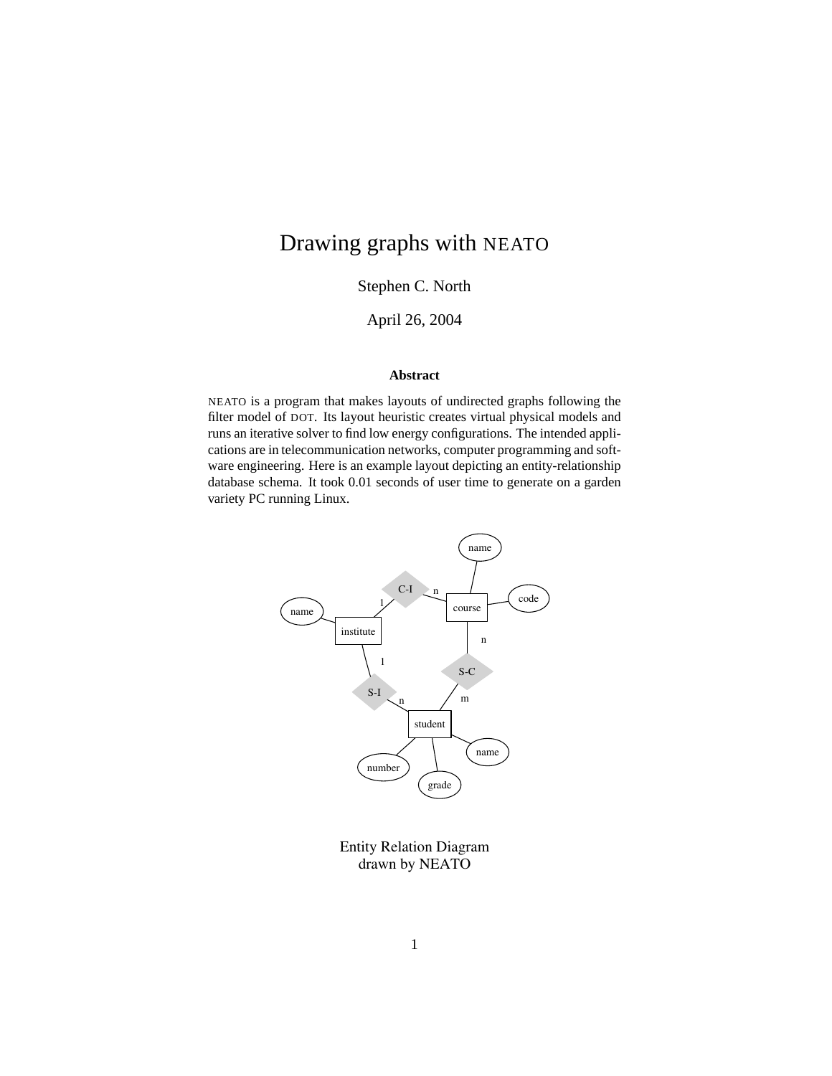# Drawing graphs with NEATO

Stephen C. North

April 26, 2004

#### **Abstract**

NEATO is a program that makes layouts of undirected graphs following the filter model of DOT. Its layout heuristic creates virtual physical models and runs an iterative solver to find low energy configurations. The intended applications are in telecommunication networks, computer programming and software engineering. Here is an example layout depicting an entity-relationship database schema. It took 0.01 seconds of user time to generate on a garden variety PC running Linux.



Entity Relation Diagram drawn by NEATO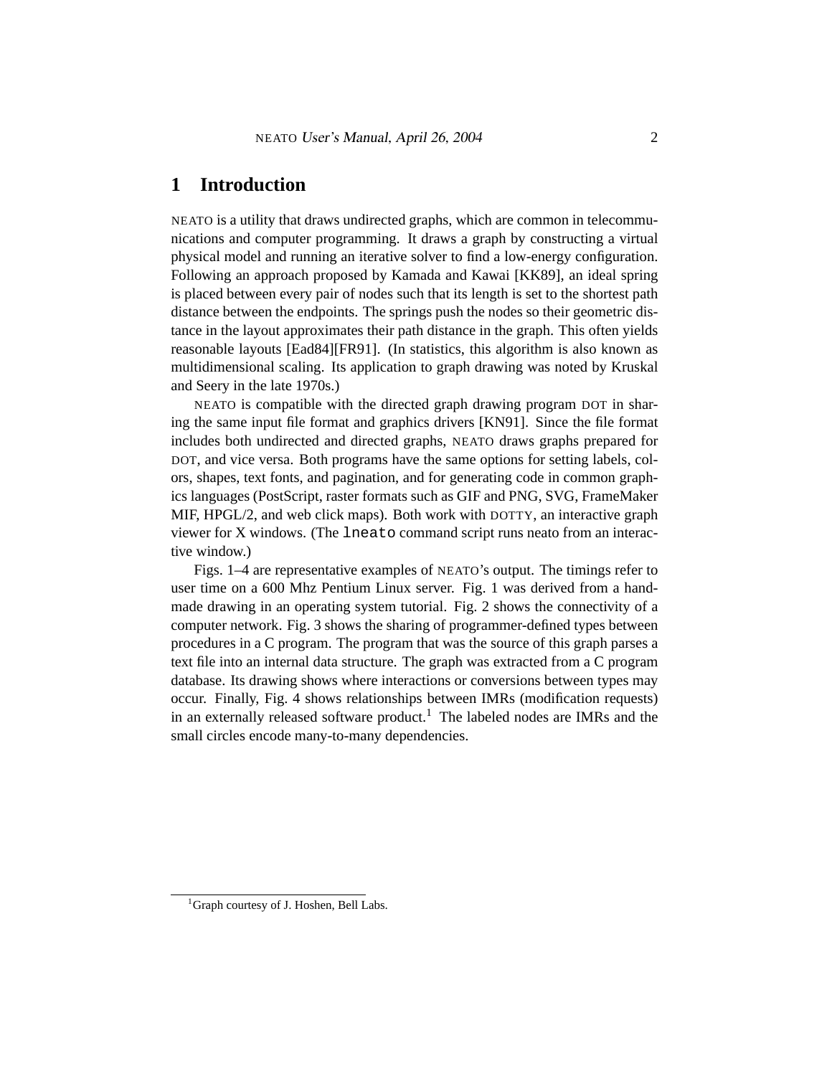# **1 Introduction**

NEATO is a utility that draws undirected graphs, which are common in telecommunications and computer programming. It draws a graph by constructing a virtual physical model and running an iterative solver to find a low-energy configuration. Following an approach proposed by Kamada and Kawai [KK89], an ideal spring is placed between every pair of nodes such that its length is set to the shortest path distance between the endpoints. The springs push the nodes so their geometric distance in the layout approximates their path distance in the graph. This often yields reasonable layouts [Ead84][FR91]. (In statistics, this algorithm is also known as multidimensional scaling. Its application to graph drawing was noted by Kruskal and Seery in the late 1970s.)

NEATO is compatible with the directed graph drawing program DOT in sharing the same input file format and graphics drivers [KN91]. Since the file format includes both undirected and directed graphs, NEATO draws graphs prepared for DOT, and vice versa. Both programs have the same options for setting labels, colors, shapes, text fonts, and pagination, and for generating code in common graphics languages (PostScript, raster formats such as GIF and PNG, SVG, FrameMaker MIF, HPGL/2, and web click maps). Both work with DOTTY, an interactive graph viewer for X windows. (The lneato command script runs neato from an interactive window.)

Figs. 1–4 are representative examples of NEATO's output. The timings refer to user time on a 600 Mhz Pentium Linux server. Fig. 1 was derived from a handmade drawing in an operating system tutorial. Fig. 2 shows the connectivity of a computer network. Fig. 3 shows the sharing of programmer-defined types between procedures in a C program. The program that was the source of this graph parses a text file into an internal data structure. The graph was extracted from a C program database. Its drawing shows where interactions or conversions between types may occur. Finally, Fig. 4 shows relationships between IMRs (modification requests) in an externally released software product.<sup>1</sup> The labeled nodes are IMRs and the small circles encode many-to-many dependencies.

<sup>&</sup>lt;sup>1</sup>Graph courtesy of J. Hoshen, Bell Labs.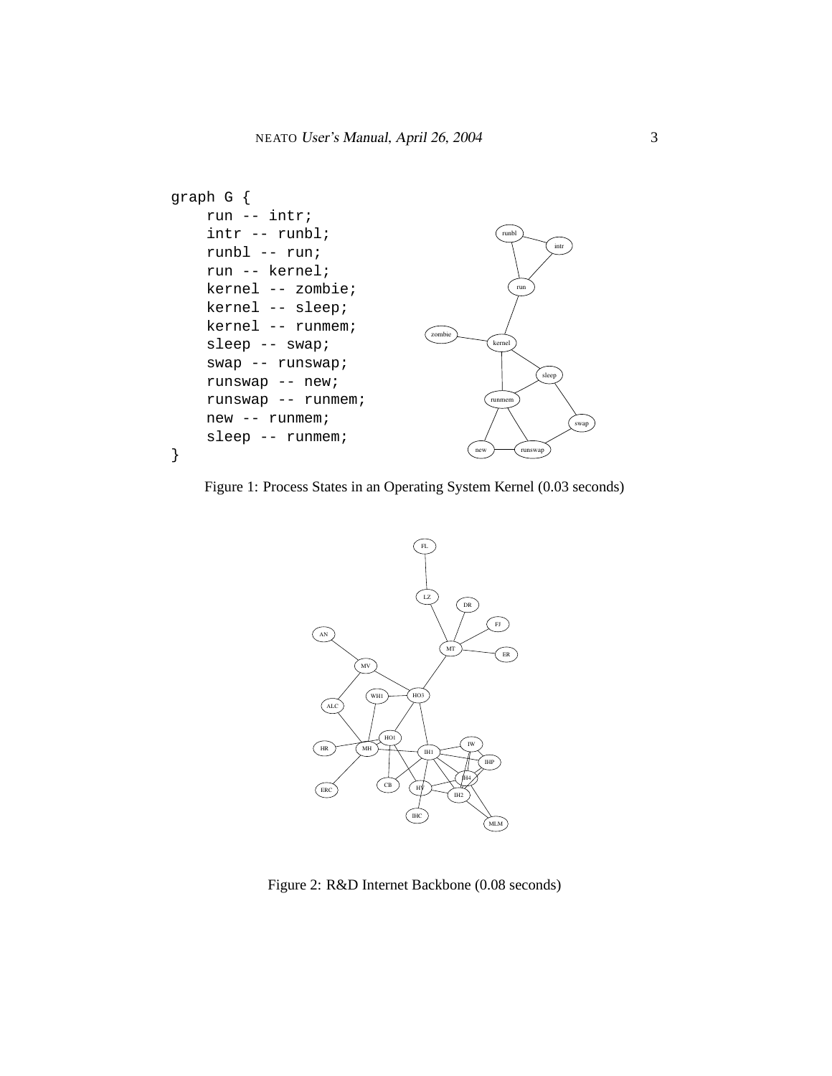

Figure 1: Process States in an Operating System Kernel (0.03 seconds)



Figure 2: R&D Internet Backbone (0.08 seconds)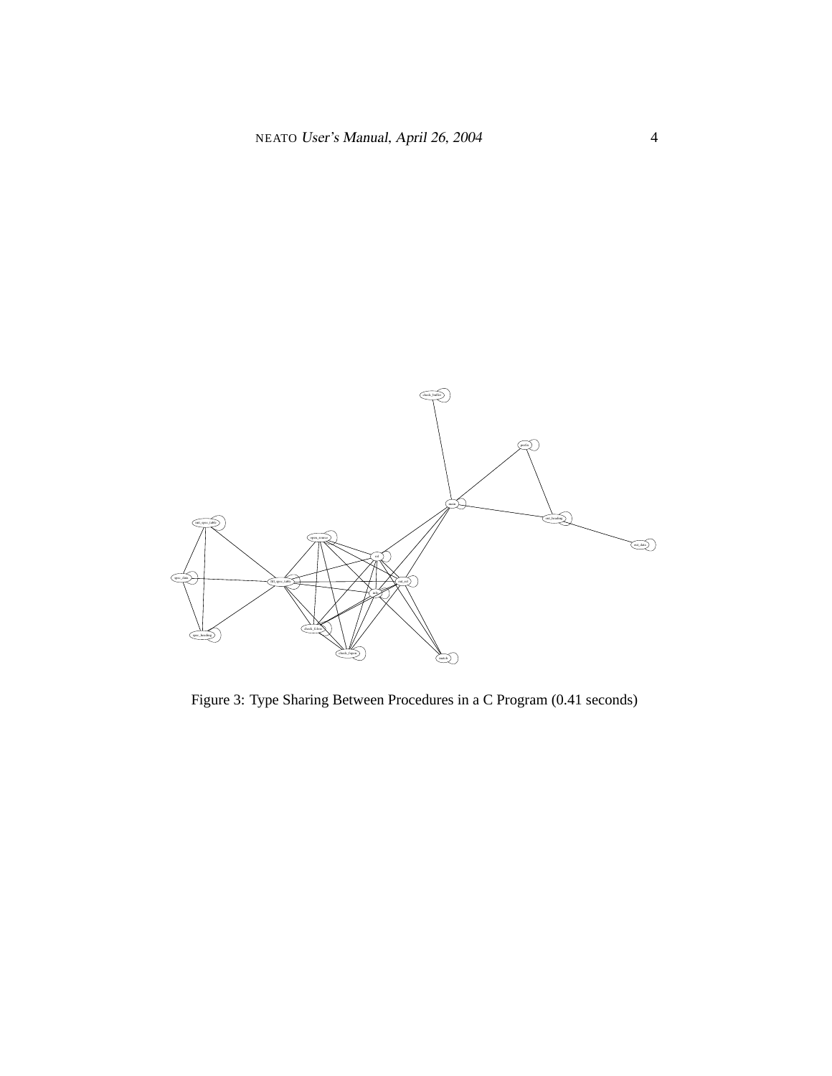

Figure 3: Type Sharing Between Procedures in a C Program (0.41 seconds)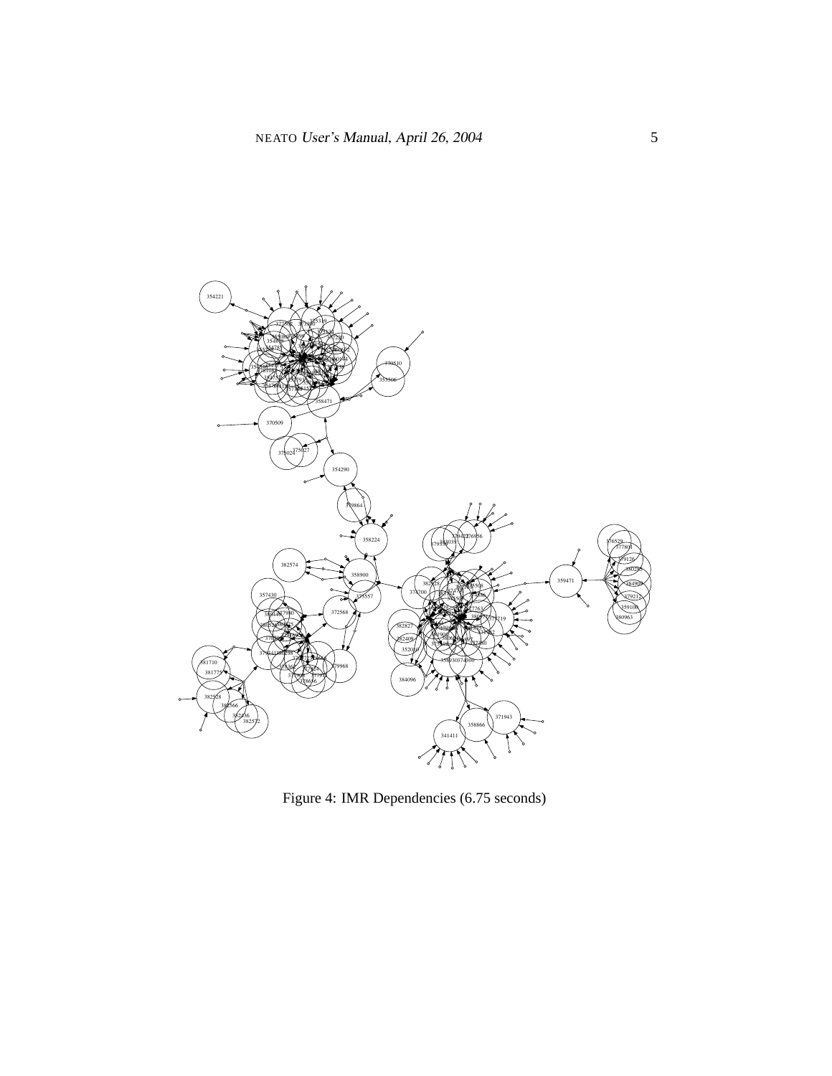

Figure 4: IMR Dependencies (6.75 seconds)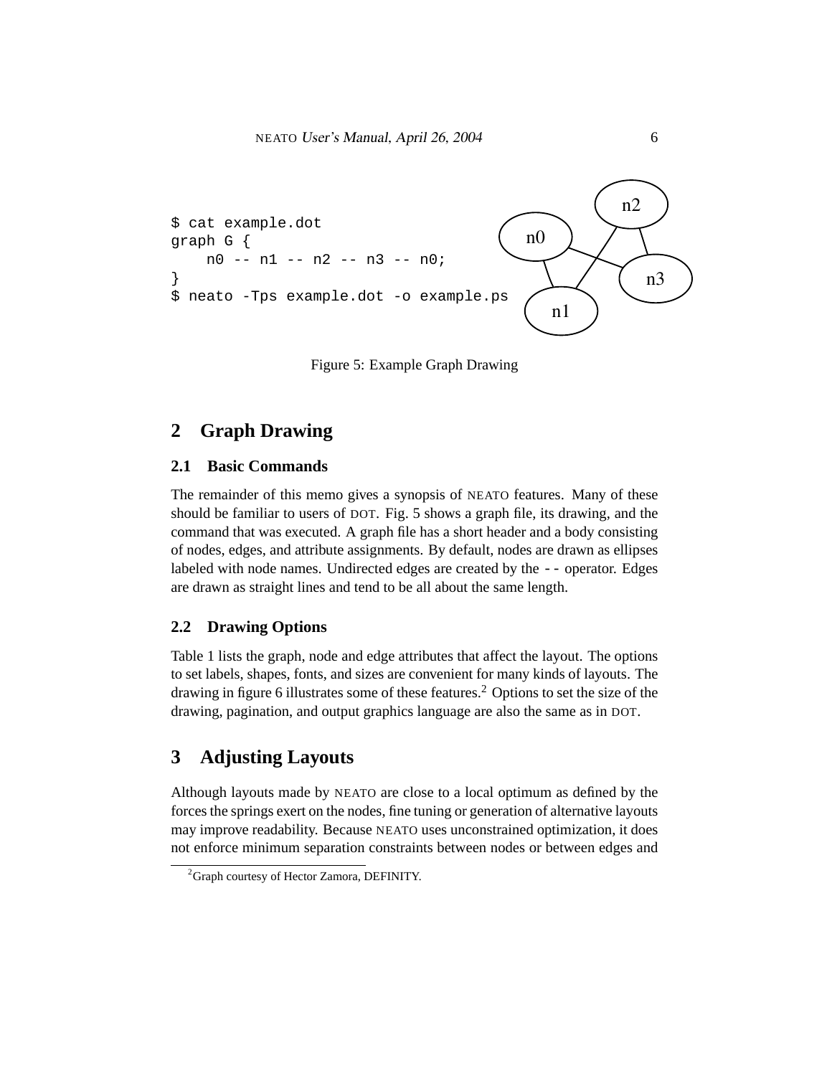

Figure 5: Example Graph Drawing

# **2 Graph Drawing**

#### **2.1 Basic Commands**

The remainder of this memo gives a synopsis of NEATO features. Many of these should be familiar to users of DOT. Fig. 5 shows a graph file, its drawing, and the command that was executed. A graph file has a short header and a body consisting of nodes, edges, and attribute assignments. By default, nodes are drawn as ellipses labeled with node names. Undirected edges are created by the -- operator. Edges are drawn as straight lines and tend to be all about the same length.

#### **2.2 Drawing Options**

Table 1 lists the graph, node and edge attributes that affect the layout. The options to set labels, shapes, fonts, and sizes are convenient for many kinds of layouts. The drawing in figure 6 illustrates some of these features.<sup>2</sup> Options to set the size of the drawing, pagination, and output graphics language are also the same as in DOT.

# **3 Adjusting Layouts**

Although layouts made by NEATO are close to a local optimum as defined by the forces the springs exert on the nodes, fine tuning or generation of alternative layouts may improve readability. Because NEATO uses unconstrained optimization, it does not enforce minimum separation constraints between nodes or between edges and

<sup>&</sup>lt;sup>2</sup>Graph courtesy of Hector Zamora, DEFINITY.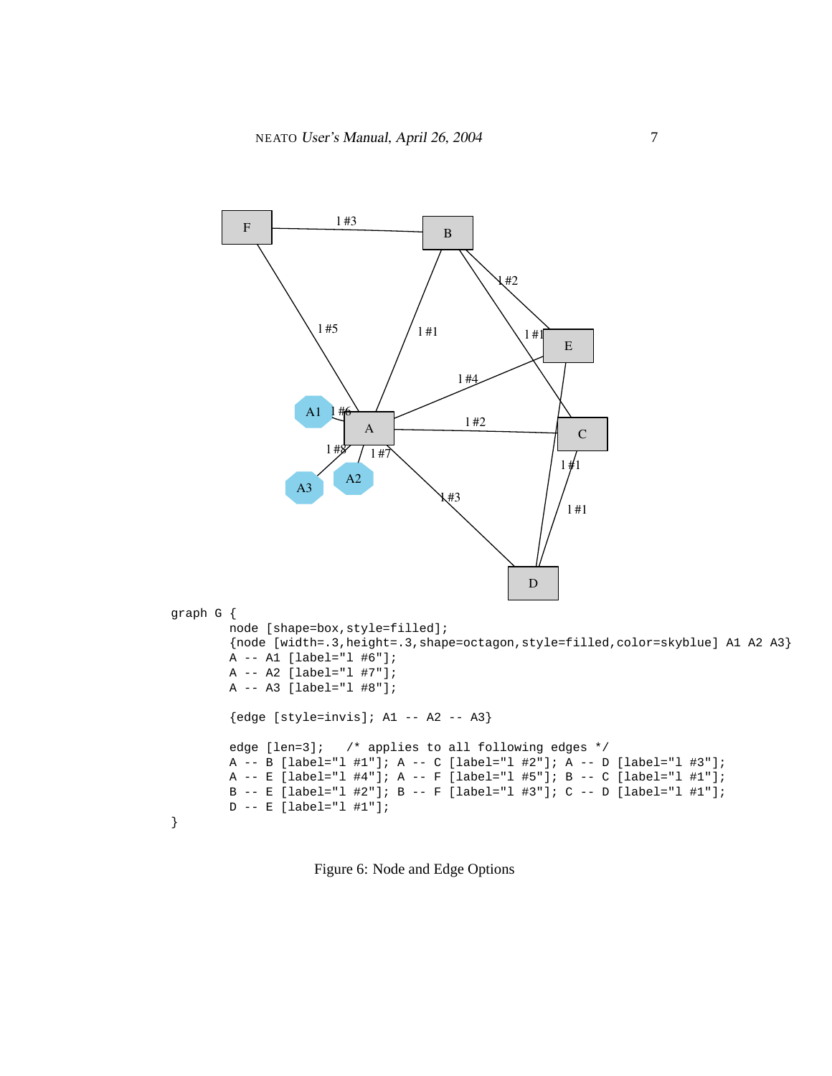

Figure 6: Node and Edge Options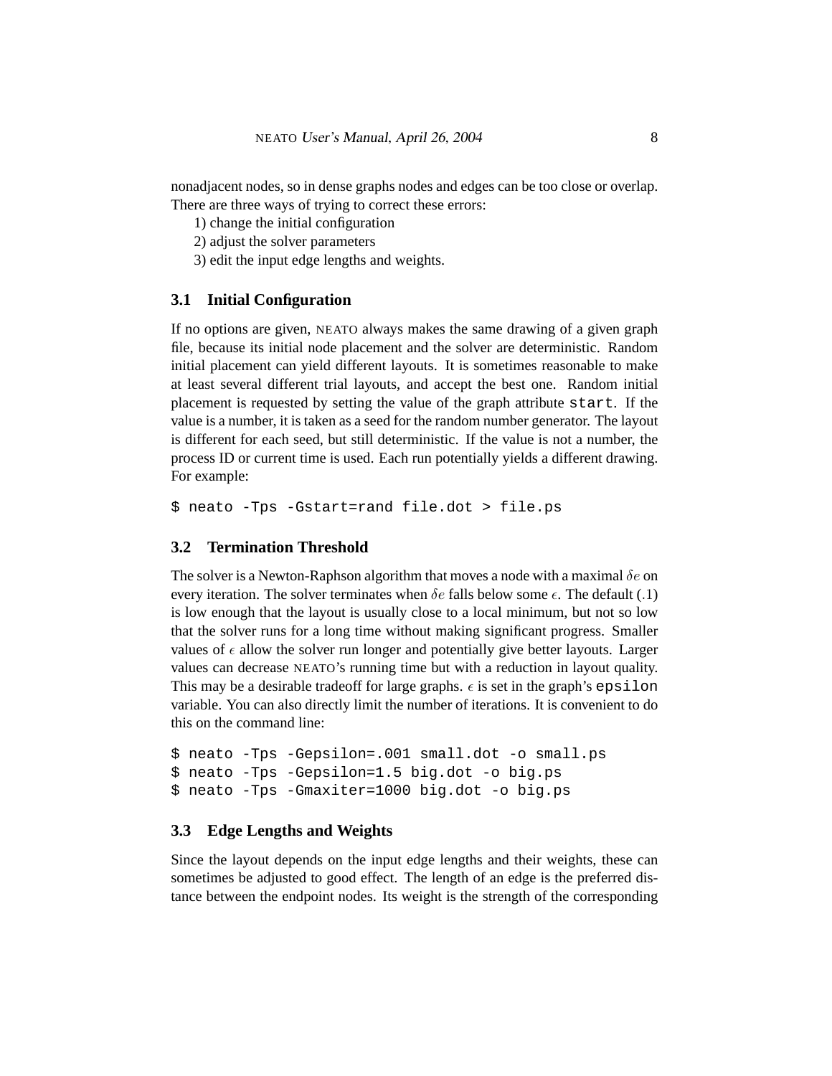nonadjacent nodes, so in dense graphs nodes and edges can be too close or overlap. There are three ways of trying to correct these errors:

1) change the initial configuration

2) adjust the solver parameters

3) edit the input edge lengths and weights.

#### **3.1 Initial Configuration**

If no options are given, NEATO always makes the same drawing of a given graph file, because its initial node placement and the solver are deterministic. Random initial placement can yield different layouts. It is sometimes reasonable to make at least several different trial layouts, and accept the best one. Random initial placement is requested by setting the value of the graph attribute start. If the value is a number, it is taken as a seed for the random number generator. The layout is different for each seed, but still deterministic. If the value is not a number, the process ID or current time is used. Each run potentially yields a different drawing. For example:

\$ neato -Tps -Gstart=rand file.dot > file.ps

#### **3.2 Termination Threshold**

The solver is a Newton-Raphson algorithm that moves a node with a maximal  $\delta e$  on every iteration. The solver terminates when  $\delta e$  falls below some  $\epsilon$ . The default (.1) is low enough that the layout is usually close to a local minimum, but not so low that the solver runs for a long time without making significant progress. Smaller values of  $\epsilon$  allow the solver run longer and potentially give better layouts. Larger values can decrease NEATO's running time but with a reduction in layout quality. This may be a desirable tradeoff for large graphs.  $\epsilon$  is set in the graph's epsilon variable. You can also directly limit the number of iterations. It is convenient to do this on the command line:

```
$ neato -Tps -Gepsilon=.001 small.dot -o small.ps
$ neato -Tps -Gepsilon=1.5 big.dot -o big.ps
$ neato -Tps -Gmaxiter=1000 big.dot -o big.ps
```
#### **3.3 Edge Lengths and Weights**

Since the layout depends on the input edge lengths and their weights, these can sometimes be adjusted to good effect. The length of an edge is the preferred distance between the endpoint nodes. Its weight is the strength of the corresponding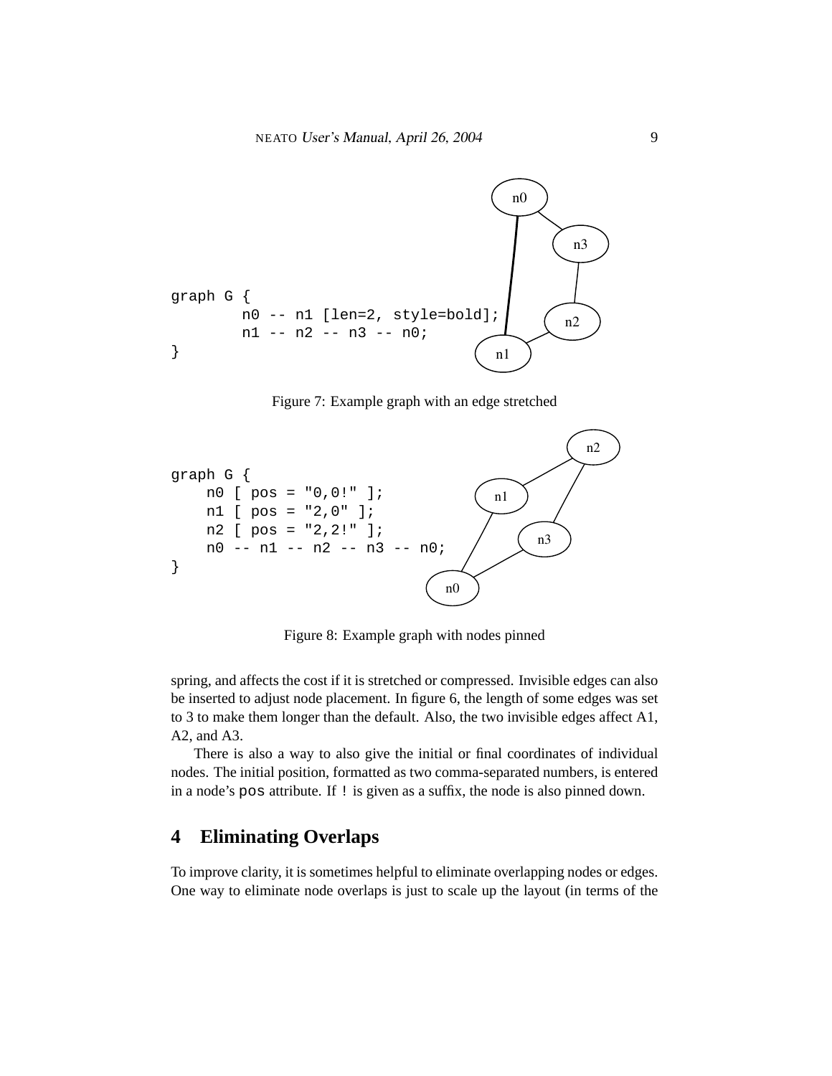

Figure 7: Example graph with an edge stretched



Figure 8: Example graph with nodes pinned

spring, and affects the cost if it is stretched or compressed. Invisible edges can also be inserted to adjust node placement. In figure 6, the length of some edges was set to 3 to make them longer than the default. Also, the two invisible edges affect A1, A2, and A3.

There is also a way to also give the initial or final coordinates of individual nodes. The initial position, formatted as two comma-separated numbers, is entered in a node's pos attribute. If ! is given as a suffix, the node is also pinned down.

# **4 Eliminating Overlaps**

To improve clarity, it is sometimes helpful to eliminate overlapping nodes or edges. One way to eliminate node overlaps is just to scale up the layout (in terms of the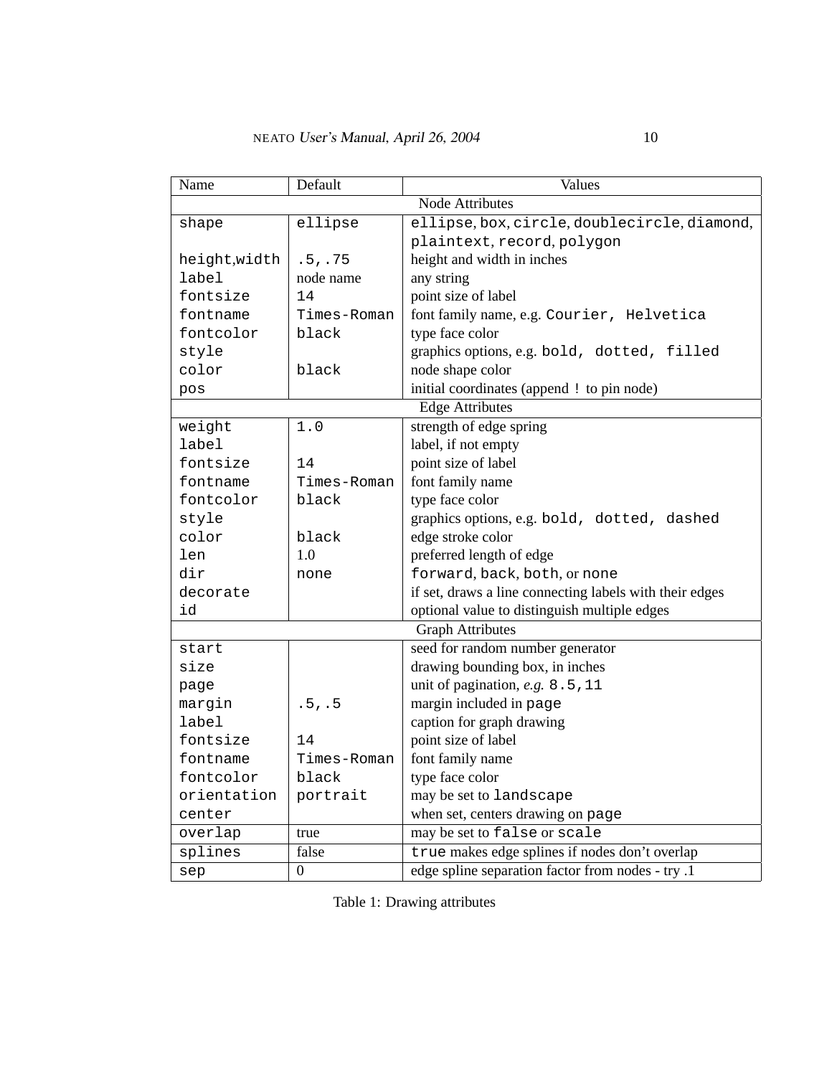| Name                    | Default        | Values                                                  |
|-------------------------|----------------|---------------------------------------------------------|
| <b>Node Attributes</b>  |                |                                                         |
| shape                   | ellipse        | ellipse, box, circle, doublecircle, diamond,            |
|                         |                | plaintext, record, polygon                              |
| height, width           | .5, .75        | height and width in inches                              |
| label                   | node name      | any string                                              |
| fontsize                | 14             | point size of label                                     |
| fontname                | Times-Roman    | font family name, e.g. Courier, Helvetica               |
| fontcolor               | black          | type face color                                         |
| style                   |                | graphics options, e.g. bold, dotted, filled             |
| color                   | black          | node shape color                                        |
| pos                     |                | initial coordinates (append ! to pin node)              |
| <b>Edge Attributes</b>  |                |                                                         |
| weight                  | 1.0            | strength of edge spring                                 |
| label                   |                | label, if not empty                                     |
| fontsize                | 14             | point size of label                                     |
| fontname                | Times-Roman    | font family name                                        |
| fontcolor               | black          | type face color                                         |
| style                   |                | graphics options, e.g. bold, dotted, dashed             |
| color                   | black          | edge stroke color                                       |
| len                     | 1.0            | preferred length of edge                                |
| dir                     | none           | forward, back, both, or none                            |
| decorate                |                | if set, draws a line connecting labels with their edges |
| id                      |                | optional value to distinguish multiple edges            |
| <b>Graph Attributes</b> |                |                                                         |
| start                   |                | seed for random number generator                        |
| size                    |                | drawing bounding box, in inches                         |
| page                    |                | unit of pagination, e.g. 8.5, 11                        |
| margin                  | .5, .5         | margin included in page                                 |
| label                   |                | caption for graph drawing                               |
| fontsize                | 14             | point size of label                                     |
| fontname                | Times-Roman    | font family name                                        |
| fontcolor               | black          | type face color                                         |
| orientation             | portrait       | may be set to landscape                                 |
| center                  |                | when set, centers drawing on page                       |
| overlap                 | true           | may be set to false or scale                            |
| splines                 | false          | true makes edge splines if nodes don't overlap          |
| sep                     | $\overline{0}$ | edge spline separation factor from nodes - try .1       |

Table 1: Drawing attributes